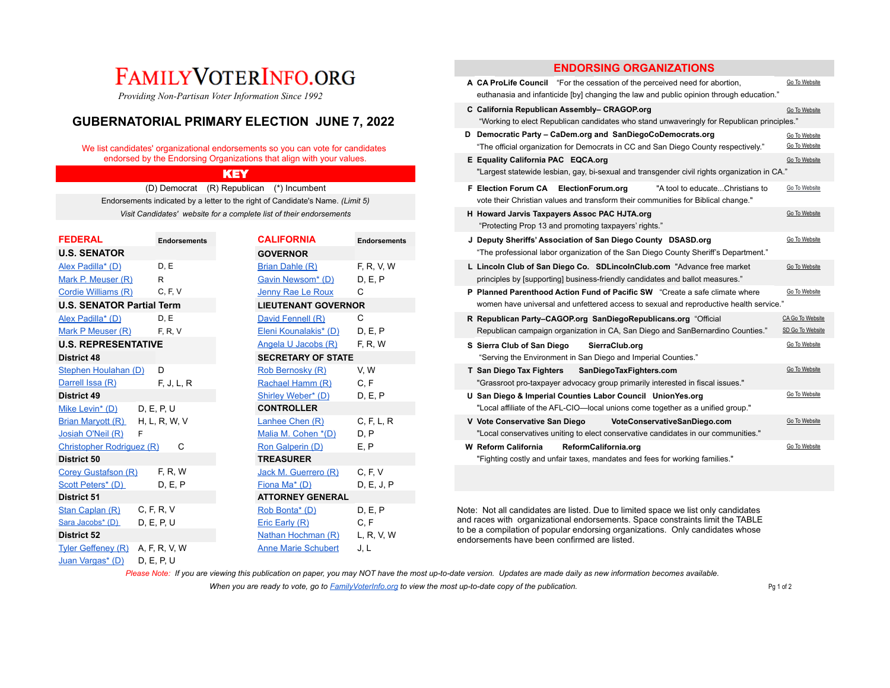# FAMILYVOTERINFO.ORG

# **GUBERNATORIAL PRIMARY ELECTION JUNE 7, 2022**

### We list candidates' organizational endorsements so you can vote for candidates endorsed by the Endorsing Organizations that align with your values.

| <b>FEDERAL</b>                   | <b>Endorsements</b> | <b>CALIFORNIA</b>          | <b>Endorsements</b> | J Deputy Sheriffs' Association of San Diego County DSASD.org                                                                                                   |
|----------------------------------|---------------------|----------------------------|---------------------|----------------------------------------------------------------------------------------------------------------------------------------------------------------|
| <b>U.S. SENATOR</b>              |                     | <b>GOVERNOR</b>            |                     | "The professional labor organization of the San Diego County Sheriff's Department."                                                                            |
| Alex Padilla* (D)                | D, E                | Brian Dahle (R)            | F, R, V, W          | L Lincoln Club of San Diego Co. SDLincolnClub.com "Advance free market"                                                                                        |
| Mark P. Meuser (R)               | R                   | Gavin Newsom* (D)          | D, E, P             | principles by [supporting] business-friendly candidates and ballot measures."                                                                                  |
| Cordie Williams (R)              | C, F, V             | Jenny Rae Le Roux          | C                   | P Planned Parenthood Action Fund of Pacific SW "Create a safe climate where                                                                                    |
| <b>U.S. SENATOR Partial Term</b> |                     | <b>LIEUTENANT GOVERNOR</b> |                     | women have universal and unfettered access to sexual and reproductive health served                                                                            |
| Alex Padilla* (D)                | D.E                 | David Fennell (R)          | C                   | R Republican Party-CAGOP.org SanDiegoRepublicans.org "Official                                                                                                 |
| Mark P Meuser (R)                | F, R, V             | Eleni Kounalakis* (D)      | D, E, P             | Republican campaign organization in CA, San Diego and SanBernardino Counties."                                                                                 |
| <b>U.S. REPRESENTATIVE</b>       |                     | Angela U Jacobs (R)        | F, R, W             | S Sierra Club of San Diego<br>SierraClub.org                                                                                                                   |
| <b>District 48</b>               |                     | <b>SECRETARY OF STATE</b>  |                     | "Serving the Environment in San Diego and Imperial Counties."                                                                                                  |
| Stephen Houlahan (D)             | D                   | Rob Bernosky (R)           | V, W                | T San Diego Tax Fighters<br>SanDiegoTaxFighters.com                                                                                                            |
| Darrell Issa (R)                 | F, J, L, R          | Rachael Hamm (R)           | C, F                | "Grassroot pro-taxpayer advocacy group primarily interested in fiscal issues."                                                                                 |
| <b>District 49</b>               |                     | Shirley Weber* (D)         | D, E, P             | U San Diego & Imperial Counties Labor Council UnionYes.org                                                                                                     |
| Mike Levin <sup>*</sup> (D)      | D. E. P. U          | <b>CONTROLLER</b>          |                     | "Local affiliate of the AFL-CIO—local unions come together as a unified group."                                                                                |
| Brian Maryott (R)                | H, L, R, W, V       | Lanhee Chen (R)            | C, F, L, R          | V Vote Conservative San Diego<br>VoteConservativeSanDiego.com                                                                                                  |
| Josiah O'Neil (R)                |                     | Malia M. Cohen *(D)        | D, P                | "Local conservatives uniting to elect conservative candidates in our communities."                                                                             |
| Christopher Rodriguez (R)        | C                   | Ron Galperin (D)           | E, P                | <b>W</b> Reform California<br>ReformCalifornia.org                                                                                                             |
| District 50                      |                     | <b>TREASURER</b>           |                     | "Fighting costly and unfair taxes, mandates and fees for working families."                                                                                    |
| <b>Corey Gustafson (R)</b>       | F, R, W             | Jack M. Guerrero (R)       | C, F, V             |                                                                                                                                                                |
| Scott Peters* (D)                | D, E, P             | Fiona Ma* (D)              | D, E, J, P          |                                                                                                                                                                |
| District 51                      |                     | <b>ATTORNEY GENERAL</b>    |                     |                                                                                                                                                                |
| Stan Caplan (R)                  | C, F, R, V          | Rob Bonta* (D)             | D.E.P               | Note: Not all candidates are listed. Due to limited space we list only candidates                                                                              |
| Sara Jacobs* (D)                 | D, E, P, U          | Eric Early (R)             | C, F                | and races with organizational endorsements. Space constraints limit the TABLE<br>to be a compilation of popular endorsing organizations. Only candidates whose |
| <b>District 52</b>               |                     | Nathan Hochman (R)         | L, R, V, W          | endorsements have been confirmed are listed.                                                                                                                   |
| Tyler Geffeney (R)               | A, F, R, V, W       | <b>Anne Marie Schubert</b> | J, L                |                                                                                                                                                                |
| Juan Vargas* (D)                 | D. E. P. U          |                            |                     |                                                                                                                                                                |

# **ENDORSING ORGANIZATIONS**

| FAMILY VOTERINFO.ORG<br>Providing Non-Partisan Voter Information Since 1992                                                          |                     |                                                                      |                     | A CA ProLife Council "For the cessation of the perceived need for abortion,<br>euthanasia and infanticide [by] changing the law and public opinion through education." | Go To Website                  |
|--------------------------------------------------------------------------------------------------------------------------------------|---------------------|----------------------------------------------------------------------|---------------------|------------------------------------------------------------------------------------------------------------------------------------------------------------------------|--------------------------------|
| <b>GUBERNATORIAL PRIMARY ELECTION JUNE 7, 2022</b><br>We list candidates' organizational endorsements so you can vote for candidates |                     |                                                                      |                     | C California Republican Assembly- CRAGOP.org<br>"Working to elect Republican candidates who stand unwaveringly for Republican principles."                             | Go To Website                  |
|                                                                                                                                      |                     |                                                                      |                     | D Democratic Party - CaDem.org and SanDiegoCoDemocrats.org<br>"The official organization for Democrats in CC and San Diego County respectively."                       | Go To Website<br>Go To Website |
|                                                                                                                                      |                     | endorsed by the Endorsing Organizations that align with your values. |                     | E Equality California PAC EQCA.org<br>"Largest statewide lesbian, gay, bi-sexual and transgender civil rights organization in CA."                                     | Go To Website                  |
|                                                                                                                                      |                     | <b>KEY</b>                                                           |                     |                                                                                                                                                                        |                                |
| (D) Democrat (R) Republican<br>(*) Incumbent<br>Endorsements indicated by a letter to the right of Candidate's Name. (Limit 5)       |                     |                                                                      |                     | F Election Forum CA ElectionForum.org<br>"A tool to educateChristians to<br>vote their Christian values and transform their communities for Biblical change."          | Go To Website                  |
|                                                                                                                                      |                     | Visit Candidates' website for a complete list of their endorsements  |                     | H Howard Jarvis Taxpayers Assoc PAC HJTA.org<br>"Protecting Prop 13 and promoting taxpayers' rights."                                                                  | Go To Website                  |
| <b>FEDERAL</b>                                                                                                                       | <b>Endorsements</b> | <b>CALIFORNIA</b>                                                    | <b>Endorsements</b> | J Deputy Sheriffs' Association of San Diego County DSASD.org                                                                                                           | Go To Website                  |
| <b>U.S. SENATOR</b>                                                                                                                  |                     | <b>GOVERNOR</b>                                                      |                     | "The professional labor organization of the San Diego County Sheriff's Department."                                                                                    |                                |
| Alex Padilla* (D)                                                                                                                    | D, E                | Brian Dahle (R)                                                      | F, R, V, W          | L Lincoln Club of San Diego Co. SDLincolnClub.com "Advance free market                                                                                                 | Go To Website                  |
| Mark P. Meuser (R)                                                                                                                   | R                   | Gavin Newsom* (D)                                                    | D, E, P             | principles by [supporting] business-friendly candidates and ballot measures."                                                                                          |                                |
| Cordie Williams (R)                                                                                                                  | C, F, V             | Jenny Rae Le Roux                                                    | C                   | P Planned Parenthood Action Fund of Pacific SW "Create a safe climate where                                                                                            | Go To Website                  |
| <b>U.S. SENATOR Partial Term</b>                                                                                                     |                     | <b>LIEUTENANT GOVERNOR</b>                                           |                     | women have universal and unfettered access to sexual and reproductive health service."                                                                                 |                                |
| Alex Padilla* (D)                                                                                                                    | D, E                | David Fennell (R)                                                    | C                   | R Republican Party-CAGOP.org SanDiegoRepublicans.org "Official                                                                                                         | CA Go To Website               |
| Mark P Meuser (R)                                                                                                                    | F. R. V             | Eleni Kounalakis* (D)                                                | D, E, P             | Republican campaign organization in CA, San Diego and SanBernardino Counties.'                                                                                         | SD Go To Website               |
| <b>U.S. REPRESENTATIVE</b>                                                                                                           |                     | Angela U Jacobs (R)                                                  | F, R, W             | S Sierra Club of San Diego<br>SierraClub.org                                                                                                                           | Go To Website                  |
| District 48                                                                                                                          |                     | <b>SECRETARY OF STATE</b>                                            |                     | "Serving the Environment in San Diego and Imperial Counties."                                                                                                          |                                |
| Stephen Houlahan (D)                                                                                                                 | D                   | Rob Bernosky (R)                                                     | V, W                | T San Diego Tax Fighters<br>SanDiegoTaxFighters.com                                                                                                                    | Go To Website                  |
| Darrell Issa (R)                                                                                                                     | F, J, L, R          | Rachael Hamm (R)                                                     | C, F                | "Grassroot pro-taxpayer advocacy group primarily interested in fiscal issues."                                                                                         |                                |
| District 49                                                                                                                          |                     | Shirley Weber* (D)                                                   | D, E, P             | U San Diego & Imperial Counties Labor Council UnionYes.org                                                                                                             | Go To Website                  |
| Mike Levin* (D)                                                                                                                      | D. E. P. U          | <b>CONTROLLER</b>                                                    |                     | "Local affiliate of the AFL-CIO—local unions come together as a unified group."                                                                                        |                                |
| Brian Maryott (R)                                                                                                                    | H, L, R, W, V       | Lanhee Chen (R)                                                      | C, F, L, R          | V Vote Conservative San Diego<br>VoteConservativeSanDiego.com                                                                                                          | Go To Website                  |
| Josiah O'Neil (R)                                                                                                                    |                     | Malia M. Cohen *(D)                                                  | D, P                | "Local conservatives uniting to elect conservative candidates in our communities."                                                                                     |                                |
| Christopher Rodriguez (R)                                                                                                            | C                   | Ron Galperin (D)                                                     | E, P                | <b>W</b> Reform California<br>ReformCalifornia.org                                                                                                                     | Go To Website                  |
| District 50                                                                                                                          |                     | <b>TREASURER</b>                                                     |                     | "Fighting costly and unfair taxes, mandates and fees for working families."                                                                                            |                                |

Please Note: If you are viewing this publication on paper, you may NOT have the most up-to-date version. Updates are made daily as new information becomes available.

*When you are ready to vote, go to FamilyVoterInfo.org to view the most up-to-date copy of the publication.* Pg 1 of 2